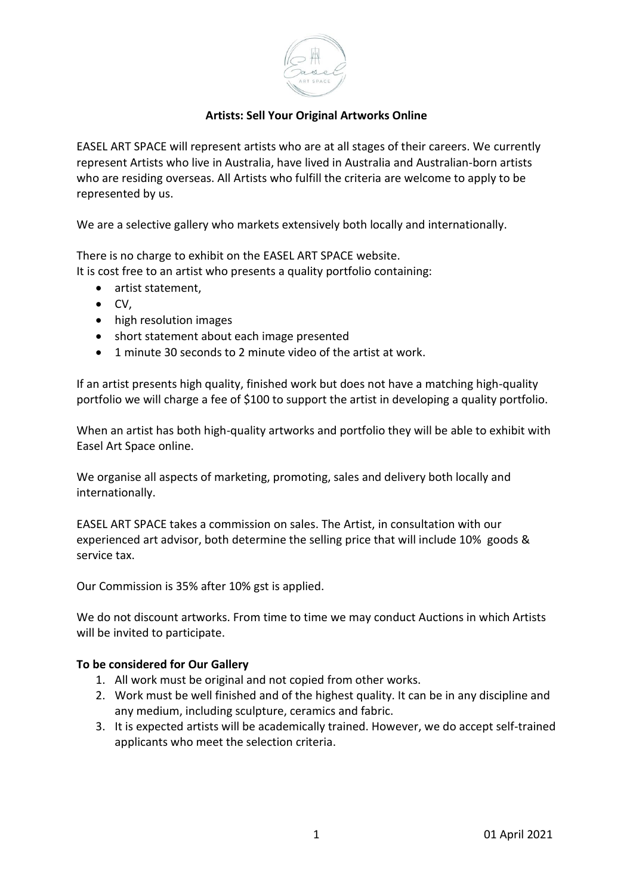

## **Artists: Sell Your Original Artworks Online**

EASEL ART SPACE will represent artists who are at all stages of their careers. We currently represent Artists who live in Australia, have lived in Australia and Australian-born artists who are residing overseas. All Artists who fulfill the criteria are welcome to apply to be represented by us.

We are a selective gallery who markets extensively both locally and internationally.

There is no charge to exhibit on the EASEL ART SPACE website.

It is cost free to an artist who presents a quality portfolio containing:

- artist statement,
- CV,
- high resolution images
- short statement about each image presented
- 1 minute 30 seconds to 2 minute video of the artist at work.

If an artist presents high quality, finished work but does not have a matching high-quality portfolio we will charge a fee of \$100 to support the artist in developing a quality portfolio.

When an artist has both high-quality artworks and portfolio they will be able to exhibit with Easel Art Space online.

We organise all aspects of marketing, promoting, sales and delivery both locally and internationally.

EASEL ART SPACE takes a commission on sales. The Artist, in consultation with our experienced art advisor, both determine the selling price that will include 10% goods & service tax.

Our Commission is 35% after 10% gst is applied.

We do not discount artworks. From time to time we may conduct Auctions in which Artists will be invited to participate.

## **To be considered for Our Gallery**

- 1. All work must be original and not copied from other works.
- 2. Work must be well finished and of the highest quality. It can be in any discipline and any medium, including sculpture, ceramics and fabric.
- 3. It is expected artists will be academically trained. However, we do accept self-trained applicants who meet the selection criteria.